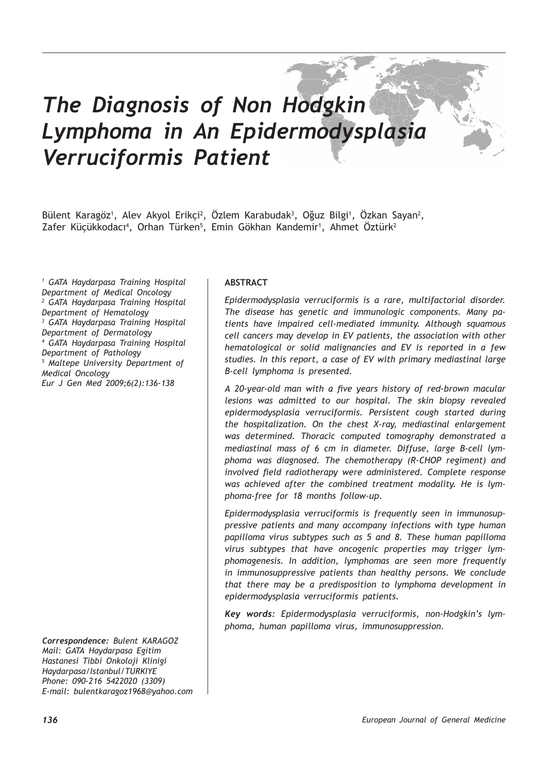# *The Diagnosis of Non Hodgkin Lymphoma in An Epidermodysplasia Verruciformis Patient*

Bülent Karagöz<sup>1</sup>, Alev Akyol Erikçi<sup>2</sup>, Özlem Karabudak<sup>3</sup>, Öğuz Bilgi<sup>1</sup>, Özkan Sayan<sup>2</sup>, Zafer Küçükkodacı<sup>4</sup>, Orhan Türken<sup>5</sup>, Emin Gökhan Kandemir<sup>1</sup>, Ahmet Öztürk<sup>2</sup>

*1 GATA Haydarpasa Training Hospital Department of Medical Oncology 2 GATA Haydarpasa Training Hospital Department of Hematology 3 GATA Haydarpasa Training Hospital Department of Dermatology 4 GATA Haydarpasa Training Hospital Department of Pathology 5 Maltepe University Department of Medical Oncology Eur J Gen Med 2009;6(2):136-138*

*Correspondence: Bulent KARAGOZ Mail: GATA Haydarpasa Egitim Hastanesi Tibbi Onkoloji Klinigi Haydarpasa/Istanbul/TURKIYE Phone: 090-216 5422020 (3309) E-mail: bulentkaragoz1968@yahoo.com*

# **ABSTRACT**

*Epidermodysplasia verruciformis is a rare, multifactorial disorder. The disease has genetic and immunologic components. Many patients have impaired cell-mediated immunity. Although squamous cell cancers may develop in EV patients, the association with other hematological or solid malignancies and EV is reported in a few studies. In this report, a case of EV with primary mediastinal large B-cell lymphoma is presented.*

*A 20-year-old man with a five years history of red-brown macular lesions was admitted to our hospital. The skin biopsy revealed epidermodysplasia verruciformis. Persistent cough started during the hospitalization. On the chest X-ray, mediastinal enlargement was determined. Thoracic computed tomography demonstrated a mediastinal mass of 6 cm in diameter. Diffuse, large B-cell lymphoma was diagnosed. The chemotherapy (R-CHOP regiment) and involved field radiotherapy were administered. Complete response was achieved after the combined treatment modality. He is lymphoma-free for 18 months follow-up.* 

*Epidermodysplasia verruciformis is frequently seen in immunosuppressive patients and many accompany infections with type human papilloma virus subtypes such as 5 and 8. These human papilloma virus subtypes that have oncogenic properties may trigger lymphomagenesis. In addition, lymphomas are seen more frequently in immunosuppressive patients than healthy persons. We conclude that there may be a predisposition to lymphoma development in epidermodysplasia verruciformis patients.* 

*Key words: Epidermodysplasia verruciformis, non-Hodgkin's lymphoma, human papilloma virus, immunosuppression.*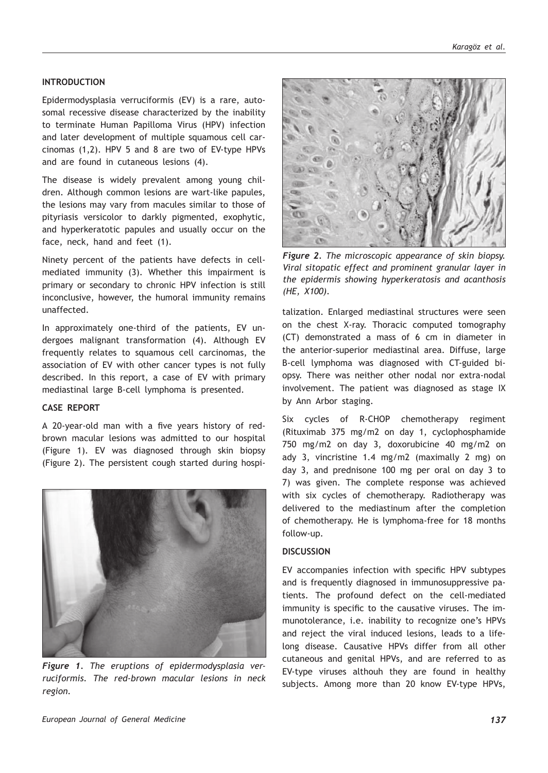## **INTRODUCTION**

Epidermodysplasia verruciformis (EV) is a rare, autosomal recessive disease characterized by the inability to terminate Human Papilloma Virus (HPV) infection and later development of multiple squamous cell carcinomas (1,2). HPV 5 and 8 are two of EV-type HPVs and are found in cutaneous lesions (4).

The disease is widely prevalent among young children. Although common lesions are wart-like papules, the lesions may vary from macules similar to those of pityriasis versicolor to darkly pigmented, exophytic, and hyperkeratotic papules and usually occur on the face, neck, hand and feet (1).

Ninety percent of the patients have defects in cellmediated immunity (3). Whether this impairment is primary or secondary to chronic HPV infection is still inconclusive, however, the humoral immunity remains unaffected.

In approximately one-third of the patients, EV undergoes malignant transformation (4). Although EV frequently relates to squamous cell carcinomas, the association of EV with other cancer types is not fully described. In this report, a case of EV with primary mediastinal large B-cell lymphoma is presented.

### **CASE REPORT**

A 20-year-old man with a five years history of redbrown macular lesions was admitted to our hospital (Figure 1). EV was diagnosed through skin biopsy (Figure 2). The persistent cough started during hospi-



*Figure 1. The eruptions of epidermodysplasia verruciformis. The red-brown macular lesions in neck region.* 



*Figure 2. The microscopic appearance of skin biopsy. Viral sitopatic effect and prominent granular layer in the epidermis showing hyperkeratosis and acanthosis (HE, X100).*

talization. Enlarged mediastinal structures were seen on the chest X-ray. Thoracic computed tomography (CT) demonstrated a mass of 6 cm in diameter in the anterior-superior mediastinal area. Diffuse, large B-cell lymphoma was diagnosed with CT-guided biopsy. There was neither other nodal nor extra-nodal involvement. The patient was diagnosed as stage IX by Ann Arbor staging.

Six cycles of R-CHOP chemotherapy regiment (Rituximab 375 mg/m2 on day 1, cyclophosphamide 750 mg/m2 on day 3, doxorubicine 40 mg/m2 on ady 3, vincristine 1.4 mg/m2 (maximally 2 mg) on day 3, and prednisone 100 mg per oral on day 3 to 7) was given. The complete response was achieved with six cycles of chemotherapy. Radiotherapy was delivered to the mediastinum after the completion of chemotherapy. He is lymphoma-free for 18 months follow-up.

# **DISCUSSION**

EV accompanies infection with specific HPV subtypes and is frequently diagnosed in immunosuppressive patients. The profound defect on the cell-mediated immunity is specific to the causative viruses. The immunotolerance, i.e. inability to recognize one's HPVs and reject the viral induced lesions, leads to a lifelong disease. Causative HPVs differ from all other cutaneous and genital HPVs, and are referred to as EV-type viruses althouh they are found in healthy subjects. Among more than 20 know EV-type HPVs,